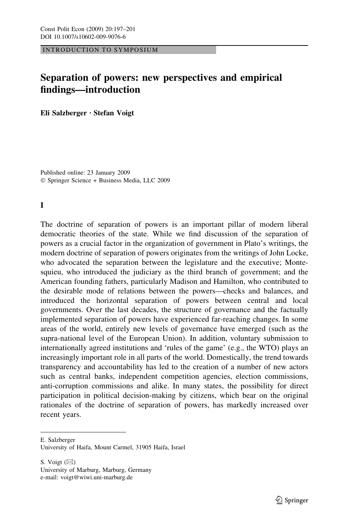INTRODUCTION TO SYMPOSIUM

# Separation of powers: new perspectives and empirical findings—introduction

Eli Salzberger · Stefan Voigt

Published online: 23 January 2009 Springer Science + Business Media, LLC 2009

## I

The doctrine of separation of powers is an important pillar of modern liberal democratic theories of the state. While we find discussion of the separation of powers as a crucial factor in the organization of government in Plato's writings, the modern doctrine of separation of powers originates from the writings of John Locke, who advocated the separation between the legislature and the executive; Montesquieu, who introduced the judiciary as the third branch of government; and the American founding fathers, particularly Madison and Hamilton, who contributed to the desirable mode of relations between the powers—checks and balances, and introduced the horizontal separation of powers between central and local governments. Over the last decades, the structure of governance and the factually implemented separation of powers have experienced far-reaching changes. In some areas of the world, entirely new levels of governance have emerged (such as the supra-national level of the European Union). In addition, voluntary submission to internationally agreed institutions and 'rules of the game' (e.g., the WTO) plays an increasingly important role in all parts of the world. Domestically, the trend towards transparency and accountability has led to the creation of a number of new actors such as central banks, independent competition agencies, election commissions, anti-corruption commissions and alike. In many states, the possibility for direct participation in political decision-making by citizens, which bear on the original rationales of the doctrine of separation of powers, has markedly increased over recent years.

S. Voigt  $(\boxtimes)$ University of Marburg, Marburg, Germany e-mail: voigt@wiwi.uni-marburg.de

E. Salzberger University of Haifa, Mount Carmel, 31905 Haifa, Israel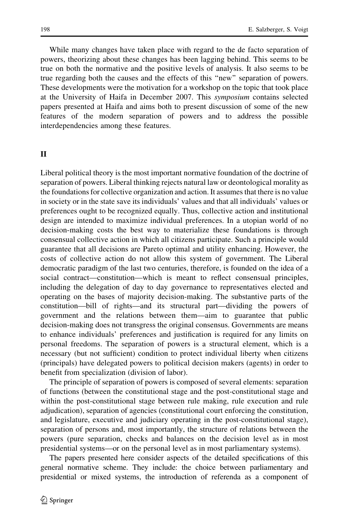While many changes have taken place with regard to the de facto separation of powers, theorizing about these changes has been lagging behind. This seems to be true on both the normative and the positive levels of analysis. It also seems to be true regarding both the causes and the effects of this ''new'' separation of powers. These developments were the motivation for a workshop on the topic that took place at the University of Haifa in December 2007. This symposium contains selected papers presented at Haifa and aims both to present discussion of some of the new features of the modern separation of powers and to address the possible interdependencies among these features.

#### II

Liberal political theory is the most important normative foundation of the doctrine of separation of powers. Liberal thinking rejects natural law or deontological morality as the foundations for collective organization and action. It assumes that there is no value in society or in the state save its individuals' values and that all individuals' values or preferences ought to be recognized equally. Thus, collective action and institutional design are intended to maximize individual preferences. In a utopian world of no decision-making costs the best way to materialize these foundations is through consensual collective action in which all citizens participate. Such a principle would guarantee that all decisions are Pareto optimal and utility enhancing. However, the costs of collective action do not allow this system of government. The Liberal democratic paradigm of the last two centuries, therefore, is founded on the idea of a social contract—constitution—which is meant to reflect consensual principles, including the delegation of day to day governance to representatives elected and operating on the bases of majority decision-making. The substantive parts of the constitution—bill of rights—and its structural part—dividing the powers of government and the relations between them—aim to guarantee that public decision-making does not transgress the original consensus. Governments are means to enhance individuals' preferences and justification is required for any limits on personal freedoms. The separation of powers is a structural element, which is a necessary (but not sufficient) condition to protect individual liberty when citizens (principals) have delegated powers to political decision makers (agents) in order to benefit from specialization (division of labor).

The principle of separation of powers is composed of several elements: separation of functions (between the constitutional stage and the post-constitutional stage and within the post-constitutional stage between rule making, rule execution and rule adjudication), separation of agencies (constitutional court enforcing the constitution, and legislature, executive and judiciary operating in the post-constitutional stage), separation of persons and, most importantly, the structure of relations between the powers (pure separation, checks and balances on the decision level as in most presidential systems—or on the personal level as in most parliamentary systems).

The papers presented here consider aspects of the detailed specifications of this general normative scheme. They include: the choice between parliamentary and presidential or mixed systems, the introduction of referenda as a component of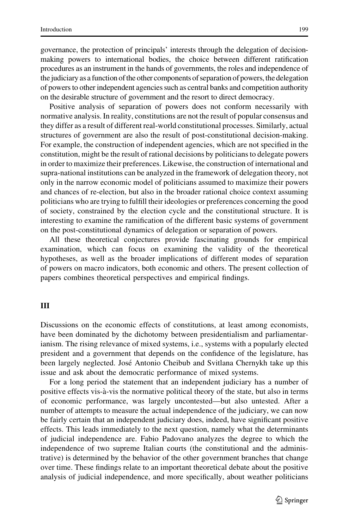governance, the protection of principals' interests through the delegation of decisionmaking powers to international bodies, the choice between different ratification procedures as an instrument in the hands of governments, the roles and independence of the judiciary as a function of the other components of separation of powers, the delegation of powers to other independent agencies such as central banks and competition authority on the desirable structure of government and the resort to direct democracy.

Positive analysis of separation of powers does not conform necessarily with normative analysis. In reality, constitutions are not the result of popular consensus and they differ as a result of different real-world constitutional processes. Similarly, actual structures of government are also the result of post-constitutional decision-making. For example, the construction of independent agencies, which are not specified in the constitution, might be the result of rational decisions by politicians to delegate powers in order to maximize their preferences. Likewise, the construction of international and supra-national institutions can be analyzed in the framework of delegation theory, not only in the narrow economic model of politicians assumed to maximize their powers and chances of re-election, but also in the broader rational choice context assuming politicians who are trying to fulfill their ideologies or preferences concerning the good of society, constrained by the election cycle and the constitutional structure. It is interesting to examine the ramification of the different basic systems of government on the post-constitutional dynamics of delegation or separation of powers.

All these theoretical conjectures provide fascinating grounds for empirical examination, which can focus on examining the validity of the theoretical hypotheses, as well as the broader implications of different modes of separation of powers on macro indicators, both economic and others. The present collection of papers combines theoretical perspectives and empirical findings.

### III

Discussions on the economic effects of constitutions, at least among economists, have been dominated by the dichotomy between presidentialism and parliamentarianism. The rising relevance of mixed systems, i.e., systems with a popularly elected president and a government that depends on the confidence of the legislature, has been largely neglected. Jose´ Antonio Cheibub and Svitlana Chernykh take up this issue and ask about the democratic performance of mixed systems.

For a long period the statement that an independent judiciary has a number of positive effects vis-a`-vis the normative political theory of the state, but also in terms of economic performance, was largely uncontested—but also untested. After a number of attempts to measure the actual independence of the judiciary, we can now be fairly certain that an independent judiciary does, indeed, have significant positive effects. This leads immediately to the next question, namely what the determinants of judicial independence are. Fabio Padovano analyzes the degree to which the independence of two supreme Italian courts (the constitutional and the administrative) is determined by the behavior of the other government branches that change over time. These findings relate to an important theoretical debate about the positive analysis of judicial independence, and more specifically, about weather politicians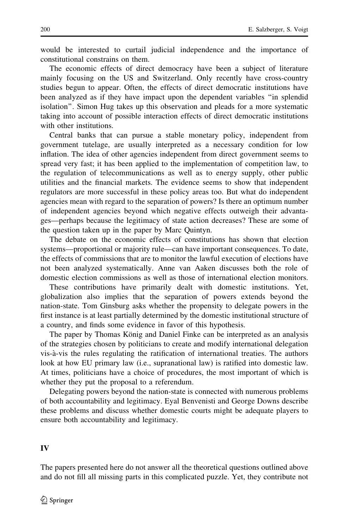would be interested to curtail judicial independence and the importance of constitutional constrains on them.

The economic effects of direct democracy have been a subject of literature mainly focusing on the US and Switzerland. Only recently have cross-country studies begun to appear. Often, the effects of direct democratic institutions have been analyzed as if they have impact upon the dependent variables ''in splendid isolation''. Simon Hug takes up this observation and pleads for a more systematic taking into account of possible interaction effects of direct democratic institutions with other institutions.

Central banks that can pursue a stable monetary policy, independent from government tutelage, are usually interpreted as a necessary condition for low inflation. The idea of other agencies independent from direct government seems to spread very fast; it has been applied to the implementation of competition law, to the regulation of telecommunications as well as to energy supply, other public utilities and the financial markets. The evidence seems to show that independent regulators are more successful in these policy areas too. But what do independent agencies mean with regard to the separation of powers? Is there an optimum number of independent agencies beyond which negative effects outweigh their advantages—perhaps because the legitimacy of state action decreases? These are some of the question taken up in the paper by Marc Quintyn.

The debate on the economic effects of constitutions has shown that election systems—proportional or majority rule—can have important consequences. To date, the effects of commissions that are to monitor the lawful execution of elections have not been analyzed systematically. Anne van Aaken discusses both the role of domestic election commissions as well as those of international election monitors.

These contributions have primarily dealt with domestic institutions. Yet, globalization also implies that the separation of powers extends beyond the nation-state. Tom Ginsburg asks whether the propensity to delegate powers in the first instance is at least partially determined by the domestic institutional structure of a country, and finds some evidence in favor of this hypothesis.

The paper by Thomas König and Daniel Finke can be interpreted as an analysis of the strategies chosen by politicians to create and modify international delegation vis-a`-vis the rules regulating the ratification of international treaties. The authors look at how EU primary law (i.e., supranational law) is ratified into domestic law. At times, politicians have a choice of procedures, the most important of which is whether they put the proposal to a referendum.

Delegating powers beyond the nation-state is connected with numerous problems of both accountability and legitimacy. Eyal Benvenisti and George Downs describe these problems and discuss whether domestic courts might be adequate players to ensure both accountability and legitimacy.

#### IV

The papers presented here do not answer all the theoretical questions outlined above and do not fill all missing parts in this complicated puzzle. Yet, they contribute not